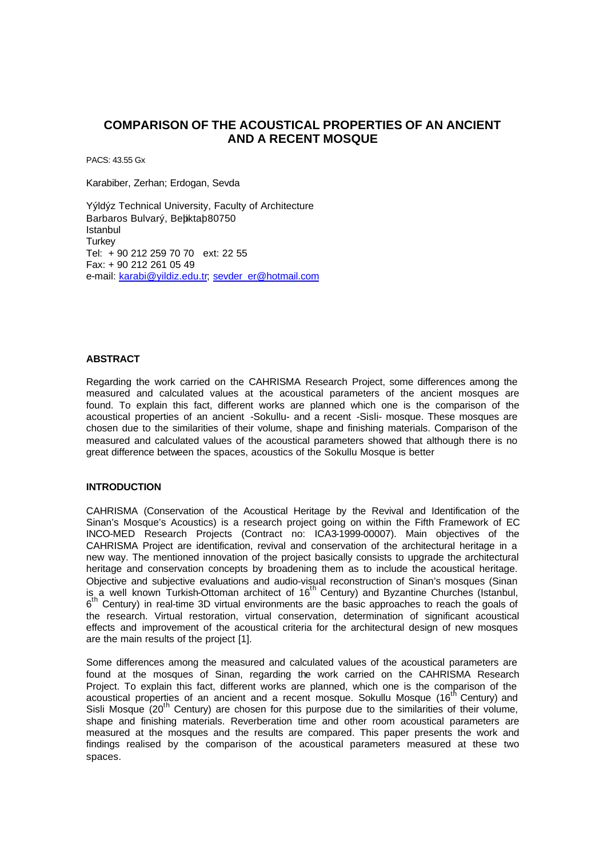# **COMPARISON OF THE ACOUSTICAL PROPERTIES OF AN ANCIENT AND A RECENT MOSQUE**

PACS: 43.55 Gx

Karabiber, Zerhan; Erdogan, Sevda

Yýldýz Technical University, Faculty of Architecture Barbaros Bulvarý, Behktab80750 Istanbul Turkey Tel: + 90 212 259 70 70 ext: 22 55 Fax: + 90 212 261 05 49 e-mail: karabi@yildiz.edu.tr; sevder\_er@hotmail.com

## **ABSTRACT**

Regarding the work carried on the CAHRISMA Research Project, some differences among the measured and calculated values at the acoustical parameters of the ancient mosques are found. To explain this fact, different works are planned which one is the comparison of the acoustical properties of an ancient -Sokullu- and a recent -Sisli- mosque. These mosques are chosen due to the similarities of their volume, shape and finishing materials. Comparison of the measured and calculated values of the acoustical parameters showed that although there is no great difference between the spaces, acoustics of the Sokullu Mosque is better

## **INTRODUCTION**

CAHRISMA (Conservation of the Acoustical Heritage by the Revival and Identification of the Sinan's Mosque's Acoustics) is a research project going on within the Fifth Framework of EC INCO-MED Research Projects (Contract no: ICA3-1999-00007). Main objectives of the CAHRISMA Project are identification, revival and conservation of the architectural heritage in a new way. The mentioned innovation of the project basically consists to upgrade the architectural heritage and conservation concepts by broadening them as to include the acoustical heritage. Objective and subjective evaluations and audio-visual reconstruction of Sinan's mosques (Sinan is a well known Turkish-Ottoman architect of  $16<sup>th</sup>$  Century) and Byzantine Churches (Istanbul,  $6<sup>th</sup>$  Century) in real-time 3D virtual environments are the basic approaches to reach the goals of the research. Virtual restoration, virtual conservation, determination of significant acoustical effects and improvement of the acoustical criteria for the architectural design of new mosques are the main results of the project [1].

Some differences among the measured and calculated values of the acoustical parameters are found at the mosques of Sinan, regarding the work carried on the CAHRISMA Research Project. To explain this fact, different works are planned, which one is the comparison of the acoustical properties of an ancient and a recent mosque. Sokullu Mosque (16<sup>th</sup> Century) and Sisli Mosque (20<sup>th</sup> Century) are chosen for this purpose due to the similarities of their volume, shape and finishing materials. Reverberation time and other room acoustical parameters are measured at the mosques and the results are compared. This paper presents the work and findings realised by the comparison of the acoustical parameters measured at these two spaces.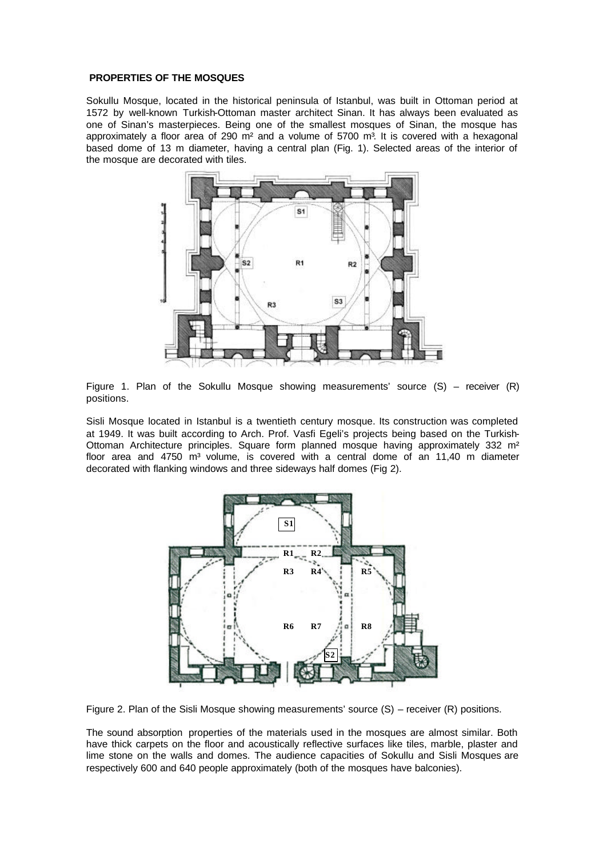## **PROPERTIES OF THE MOSQUES**

Sokullu Mosque, located in the historical peninsula of Istanbul, was built in Ottoman period at 1572 by well-known Turkish-Ottoman master architect Sinan. It has always been evaluated as one of Sinan's masterpieces. Being one of the smallest mosques of Sinan, the mosque has approximately a floor area of 290  $\text{m}^2$  and a volume of 5700  $\text{m}^3$ . It is covered with a hexagonal based dome of 13 m diameter, having a central plan (Fig. 1). Selected areas of the interior of the mosque are decorated with tiles.



Figure 1. Plan of the Sokullu Mosque showing measurements' source  $(S)$  – receiver  $(R)$ positions.

Sisli Mosque located in Istanbul is a twentieth century mosque. Its construction was completed at 1949. It was built according to Arch. Prof. Vasfi Egeli's projects being based on the Turkish-Ottoman Architecture principles. Square form planned mosque having approximately 332 m² floor area and 4750  $\text{m}^3$  volume, is covered with a central dome of an 11,40 m diameter decorated with flanking windows and three sideways half domes (Fig 2).



Figure 2. Plan of the Sisli Mosque showing measurements' source (S) – receiver (R) positions.

The sound absorption properties of the materials used in the mosques are almost similar. Both have thick carpets on the floor and acoustically reflective surfaces like tiles, marble, plaster and lime stone on the walls and domes. The audience capacities of Sokullu and Sisli Mosques are respectively 600 and 640 people approximately (both of the mosques have balconies).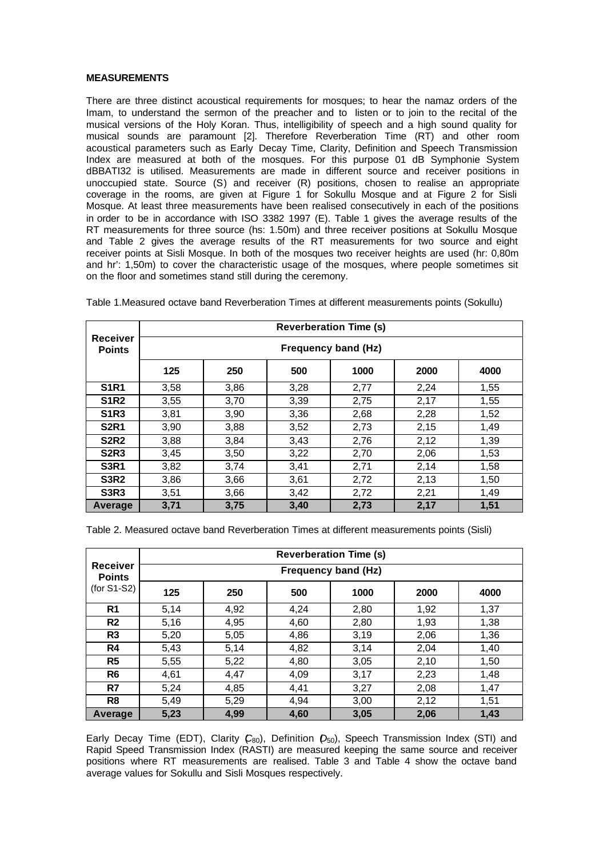### **MEASUREMENTS**

There are three distinct acoustical requirements for mosques; to hear the namaz orders of the Imam, to understand the sermon of the preacher and to listen or to join to the recital of the musical versions of the Holy Koran. Thus, intelligibility of speech and a high sound quality for musical sounds are paramount [2]. Therefore Reverberation Time (RT) and other room acoustical parameters such as Early Decay Time, Clarity, Definition and Speech Transmission Index are measured at both of the mosques. For this purpose 01 dB Symphonie System dBBATI32 is utilised. Measurements are made in different source and receiver positions in unoccupied state. Source (S) and receiver (R) positions, chosen to realise an appropriate coverage in the rooms, are given at Figure 1 for Sokullu Mosque and at Figure 2 for Sisli Mosque. At least three measurements have been realised consecutively in each of the positions in order to be in accordance with ISO 3382 1997 (E). Table 1 gives the average results of the RT measurements for three source (hs: 1.50m) and three receiver positions at Sokullu Mosque and Table 2 gives the average results of the RT measurements for two source and eight receiver points at Sisli Mosque. In both of the mosques two receiver heights are used (hr: 0,80m and hr': 1,50m) to cover the characteristic usage of the mosques, where people sometimes sit on the floor and sometimes stand still during the ceremony.

|                                  |                     |      |      | <b>Reverberation Time (s)</b> |      |      |  |  |
|----------------------------------|---------------------|------|------|-------------------------------|------|------|--|--|
| <b>Receiver</b><br><b>Points</b> | Frequency band (Hz) |      |      |                               |      |      |  |  |
|                                  | 125                 | 250  | 500  | 1000                          | 2000 | 4000 |  |  |
| <b>S1R1</b>                      | 3,58                | 3,86 | 3,28 | 2,77                          | 2,24 | 1,55 |  |  |
| <b>S1R2</b>                      | 3,55                | 3,70 | 3,39 | 2,75                          | 2,17 | 1,55 |  |  |
| <b>S1R3</b>                      | 3,81                | 3,90 | 3,36 | 2,68                          | 2,28 | 1,52 |  |  |
| <b>S2R1</b>                      | 3,90                | 3,88 | 3,52 | 2,73                          | 2,15 | 1,49 |  |  |
| <b>S2R2</b>                      | 3,88                | 3,84 | 3,43 | 2,76                          | 2,12 | 1,39 |  |  |
| <b>S2R3</b>                      | 3,45                | 3,50 | 3,22 | 2,70                          | 2,06 | 1,53 |  |  |
| <b>S3R1</b>                      | 3,82                | 3,74 | 3,41 | 2,71                          | 2,14 | 1,58 |  |  |
| <b>S3R2</b>                      | 3,86                | 3,66 | 3,61 | 2,72                          | 2,13 | 1,50 |  |  |
| <b>S3R3</b>                      | 3,51                | 3,66 | 3,42 | 2,72                          | 2,21 | 1,49 |  |  |
| Average                          | 3,71                | 3,75 | 3,40 | 2,73                          | 2,17 | 1,51 |  |  |

Table 1.Measured octave band Reverberation Times at different measurements points (Sokullu)

Table 2. Measured octave band Reverberation Times at different measurements points (Sisli)

|                                                   |                            |      |      | <b>Reverberation Time (s)</b> |      |      |  |  |
|---------------------------------------------------|----------------------------|------|------|-------------------------------|------|------|--|--|
| <b>Receiver</b><br><b>Points</b><br>$(for S1-S2)$ | <b>Frequency band (Hz)</b> |      |      |                               |      |      |  |  |
|                                                   | 125                        | 250  | 500  | 1000                          | 2000 | 4000 |  |  |
| R <sub>1</sub>                                    | 5,14                       | 4,92 | 4,24 | 2,80                          | 1,92 | 1,37 |  |  |
| R <sub>2</sub>                                    | 5,16                       | 4,95 | 4,60 | 2,80                          | 1,93 | 1,38 |  |  |
| R <sub>3</sub>                                    | 5,20                       | 5,05 | 4,86 | 3,19                          | 2,06 | 1,36 |  |  |
| R4                                                | 5,43                       | 5,14 | 4,82 | 3,14                          | 2,04 | 1,40 |  |  |
| R <sub>5</sub>                                    | 5,55                       | 5,22 | 4,80 | 3,05                          | 2,10 | 1,50 |  |  |
| R6                                                | 4,61                       | 4,47 | 4,09 | 3,17                          | 2,23 | 1,48 |  |  |
| R7                                                | 5,24                       | 4,85 | 4,41 | 3,27                          | 2,08 | 1,47 |  |  |
| R <sub>8</sub>                                    | 5,49                       | 5,29 | 4.94 | 3,00                          | 2,12 | 1,51 |  |  |
| Average                                           | 5,23                       | 4,99 | 4,60 | 3,05                          | 2,06 | 1,43 |  |  |

Early Decay Time (EDT), Clarity (C<sub>80</sub>), Definition (D<sub>50</sub>), Speech Transmission Index (STI) and Rapid Speed Transmission Index (RASTI) are measured keeping the same source and receiver positions where RT measurements are realised. Table 3 and Table 4 show the octave band average values for Sokullu and Sisli Mosques respectively.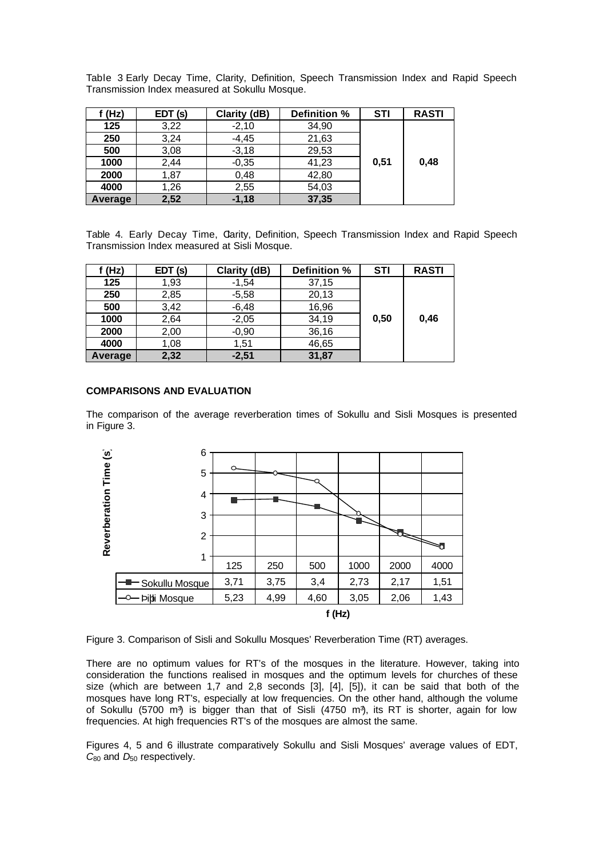Table 3 Early Decay Time, Clarity, Definition, Speech Transmission Index and Rapid Speech Transmission Index measured at Sokullu Mosque.

| f (Hz)  | EDT (s) | Clarity (dB) | Definition % | <b>STI</b> | <b>RASTI</b> |
|---------|---------|--------------|--------------|------------|--------------|
| 125     | 3,22    | $-2,10$      | 34,90        |            |              |
| 250     | 3,24    | $-4,45$      | 21,63        |            |              |
| 500     | 3,08    | $-3,18$      | 29,53        |            |              |
| 1000    | 2,44    | $-0,35$      | 41,23        | 0,51       | 0,48         |
| 2000    | 1,87    | 0,48         | 42,80        |            |              |
| 4000    | 1,26    | 2,55         | 54,03        |            |              |
| Average | 2,52    | $-1,18$      | 37,35        |            |              |

Table 4. Early Decay Time, Carity, Definition, Speech Transmission Index and Rapid Speech Transmission Index measured at Sisli Mosque.

| f (Hz)         | EDT (s) | Clarity (dB) | Definition % | <b>STI</b> | <b>RASTI</b> |
|----------------|---------|--------------|--------------|------------|--------------|
| 125            | 1,93    | $-1.54$      | 37,15        |            |              |
| 250            | 2,85    | $-5,58$      | 20,13        |            |              |
| 500            | 3,42    | $-6,48$      | 16,96        |            |              |
| 1000           | 2,64    | $-2,05$      | 34,19        | 0,50       | 0,46         |
| 2000           | 2,00    | $-0,90$      | 36,16        |            |              |
| 4000           | 1,08    | 1.51         | 46,65        |            |              |
| <b>Average</b> | 2,32    | $-2,51$      | 31,87        |            |              |

## **COMPARISONS AND EVALUATION**

The comparison of the average reverberation times of Sokullu and Sisli Mosques is presented in Figure 3.



Figure 3. Comparison of Sisli and Sokullu Mosques' Reverberation Time (RT) averages.

There are no optimum values for RT's of the mosques in the literature. However, taking into consideration the functions realised in mosques and the optimum levels for churches of these size (which are between 1,7 and 2,8 seconds [3], [4], [5]), it can be said that both of the mosques have long RT's, especially at low frequencies. On the other hand, although the volume of Sokullu (5700 m<sup>3</sup>) is bigger than that of Sisli (4750 m<sup>3</sup>), its RT is shorter, again for low frequencies. At high frequencies RT's of the mosques are almost the same.

Figures 4, 5 and 6 illustrate comparatively Sokullu and Sisli Mosques' average values of EDT,  $C_{80}$  and  $D_{50}$  respectively.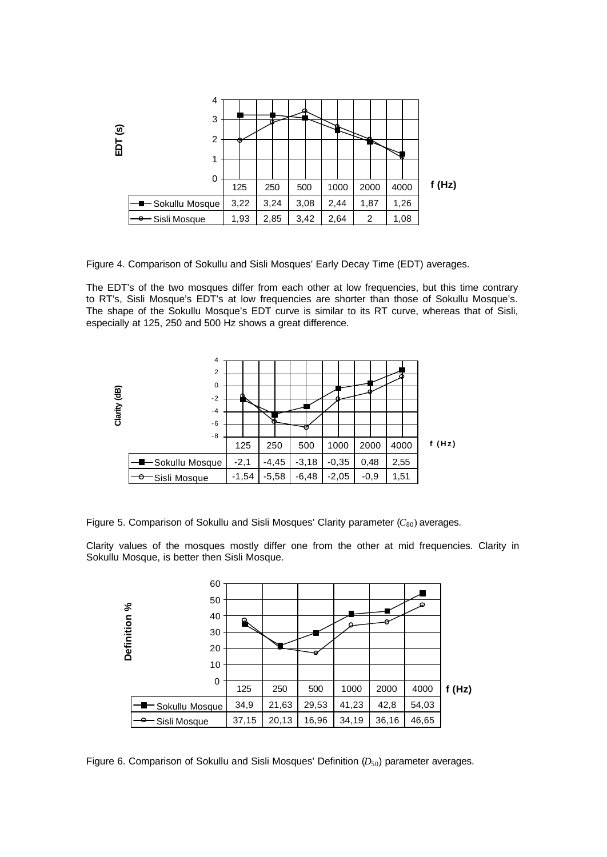

Figure 4. Comparison of Sokullu and Sisli Mosques' Early Decay Time (EDT) averages.

The EDT's of the two mosques differ from each other at low frequencies, but this time contrary to RT's, Sisli Mosque's EDT's at low frequencies are shorter than those of Sokullu Mosque's. The shape of the Sokullu Mosque's EDT curve is similar to its RT curve, whereas that of Sisli, especially at 125, 250 and 500 Hz shows a great difference.



Figure 5. Comparison of Sokullu and Sisli Mosques' Clarity parameter (C<sub>80</sub>) averages.

Clarity values of the mosques mostly differ one from the other at mid frequencies. Clarity in Sokullu Mosque, is better then Sisli Mosque.



Figure 6. Comparison of Sokullu and Sisli Mosques' Definition ( $D_{50}$ ) parameter averages.